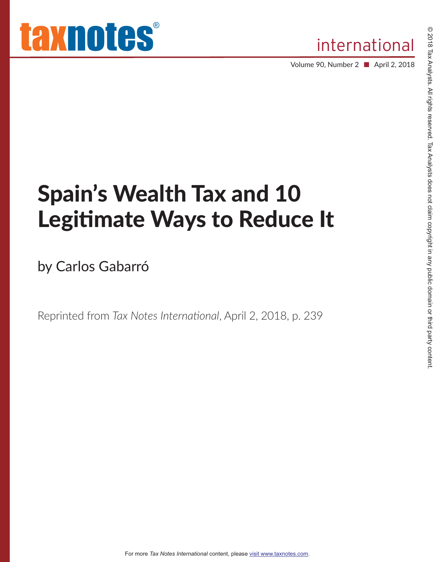Volume 90, Number 2 ■ April 2, 2018

# Spain's Wealth Tax and 10 Legitimate Ways to Reduce It

by Carlos Gabarró

Reprinted from *Tax Notes International*, April 2, 2018, p. 239

For more *Tax Notes International* content, please visit www.taxnotes.com.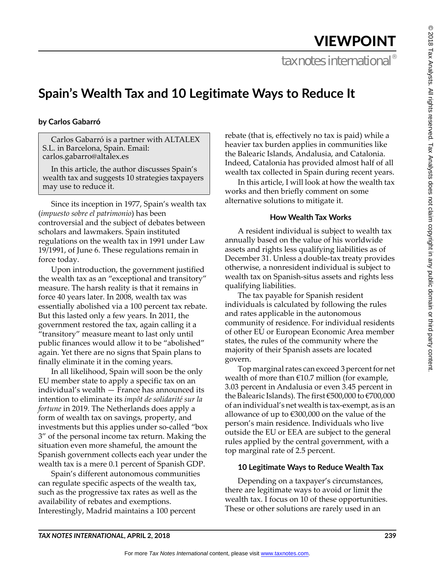## VIEWPOINT

tax notes international<sup>®</sup>

### **Spain's Wealth Tax and 10 Legitimate Ways to Reduce It**

#### **by Carlos Gabarró**

Carlos Gabarró is a partner with ALTALEX S.L. in Barcelona, Spain. Email: carlos.gabarro@altalex.es

In this article, the author discusses Spain's wealth tax and suggests 10 strategies taxpayers may use to reduce it.

Since its inception in 1977, Spain's wealth tax (*impuesto sobre el patrimonio*) has been controversial and the subject of debates between scholars and lawmakers. Spain instituted regulations on the wealth tax in 1991 under Law 19/1991, of June 6. These regulations remain in force today.

Upon introduction, the government justified the wealth tax as an "exceptional and transitory" measure. The harsh reality is that it remains in force 40 years later. In 2008, wealth tax was essentially abolished via a 100 percent tax rebate. But this lasted only a few years. In 2011, the government restored the tax, again calling it a "transitory" measure meant to last only until public finances would allow it to be "abolished" again. Yet there are no signs that Spain plans to finally eliminate it in the coming years.

In all likelihood, Spain will soon be the only EU member state to apply a specific tax on an individual's wealth — France has announced its intention to eliminate its *impôt de solidarité sur la fortune* in 2019. The Netherlands does apply a form of wealth tax on savings, property, and investments but this applies under so-called "box 3" of the personal income tax return. Making the situation even more shameful, the amount the Spanish government collects each year under the wealth tax is a mere 0.1 percent of Spanish GDP.

Spain's different autonomous communities can regulate specific aspects of the wealth tax, such as the progressive tax rates as well as the availability of rebates and exemptions. Interestingly, Madrid maintains a 100 percent

rebate (that is, effectively no tax is paid) while a heavier tax burden applies in communities like the Balearic Islands, Andalusia, and Catalonia. Indeed, Catalonia has provided almost half of all wealth tax collected in Spain during recent years.

In this article, I will look at how the wealth tax works and then briefly comment on some alternative solutions to mitigate it.

#### **How Wealth Tax Works**

A resident individual is subject to wealth tax annually based on the value of his worldwide assets and rights less qualifying liabilities as of December 31. Unless a double-tax treaty provides otherwise, a nonresident individual is subject to wealth tax on Spanish-situs assets and rights less qualifying liabilities.

The tax payable for Spanish resident individuals is calculated by following the rules and rates applicable in the autonomous community of residence. For individual residents of other EU or European Economic Area member states, the rules of the community where the majority of their Spanish assets are located govern.

Top marginal rates can exceed 3 percent for net wealth of more than  $£10.7$  million (for example, 3.03 percent in Andalusia or even 3.45 percent in the Balearic Islands). The first €500,000 to €700,000 of an individual's net wealth is tax-exempt, as is an allowance of up to €300,000 on the value of the person's main residence. Individuals who live outside the EU or EEA are subject to the general rules applied by the central government, with a top marginal rate of 2.5 percent.

#### **10 Legitimate Ways to Reduce Wealth Tax**

Depending on a taxpayer's circumstances, there are legitimate ways to avoid or limit the wealth tax. I focus on 10 of these opportunities. These or other solutions are rarely used in an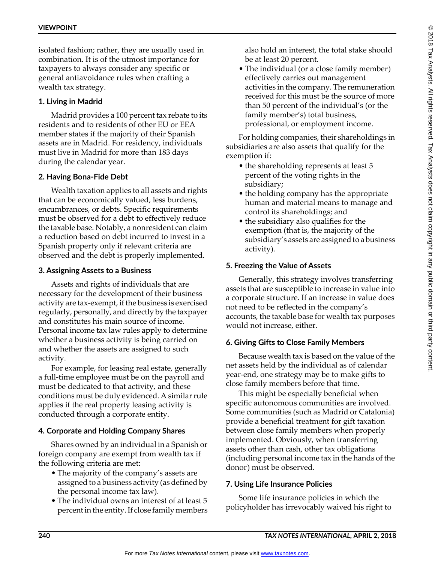isolated fashion; rather, they are usually used in combination. It is of the utmost importance for taxpayers to always consider any specific or general antiavoidance rules when crafting a wealth tax strategy.

#### **1. Living in Madrid**

Madrid provides a 100 percent tax rebate to its residents and to residents of other EU or EEA member states if the majority of their Spanish assets are in Madrid. For residency, individuals must live in Madrid for more than 183 days during the calendar year.

#### **2. Having Bona-Fide Debt**

Wealth taxation applies to all assets and rights that can be economically valued, less burdens, encumbrances, or debts. Specific requirements must be observed for a debt to effectively reduce the taxable base. Notably, a nonresident can claim a reduction based on debt incurred to invest in a Spanish property only if relevant criteria are observed and the debt is properly implemented.

#### **3. Assigning Assets to a Business**

Assets and rights of individuals that are necessary for the development of their business activity are tax-exempt, if the business is exercised regularly, personally, and directly by the taxpayer and constitutes his main source of income. Personal income tax law rules apply to determine whether a business activity is being carried on and whether the assets are assigned to such activity.

For example, for leasing real estate, generally a full-time employee must be on the payroll and must be dedicated to that activity, and these conditions must be duly evidenced. A similar rule applies if the real property leasing activity is conducted through a corporate entity.

#### **4. Corporate and Holding Company Shares**

Shares owned by an individual in a Spanish or foreign company are exempt from wealth tax if the following criteria are met:

- The majority of the company's assets are assigned to a business activity (as defined by the personal income tax law).
- The individual owns an interest of at least 5 percent in the entity. If close family members

also hold an interest, the total stake should be at least 20 percent.

• The individual (or a close family member) effectively carries out management activities in the company. The remuneration received for this must be the source of more than 50 percent of the individual's (or the family member's) total business, professional, or employment income.

For holding companies, their shareholdings in subsidiaries are also assets that qualify for the exemption if:

- the shareholding represents at least 5 percent of the voting rights in the subsidiary;
- the holding company has the appropriate human and material means to manage and control its shareholdings; and
- the subsidiary also qualifies for the exemption (that is, the majority of the subsidiary's assets are assigned to a business activity).

#### **5. Freezing the Value of Assets**

Generally, this strategy involves transferring assets that are susceptible to increase in value into a corporate structure. If an increase in value does not need to be reflected in the company's accounts, the taxable base for wealth tax purposes would not increase, either.

#### **6. Giving Gifts to Close Family Members**

Because wealth tax is based on the value of the net assets held by the individual as of calendar year-end, one strategy may be to make gifts to close family members before that time.

This might be especially beneficial when specific autonomous communities are involved. Some communities (such as Madrid or Catalonia) provide a beneficial treatment for gift taxation between close family members when properly implemented. Obviously, when transferring assets other than cash, other tax obligations (including personal income tax in the hands of the donor) must be observed.

#### **7. Using Life Insurance Policies**

Some life insurance policies in which the policyholder has irrevocably waived his right to